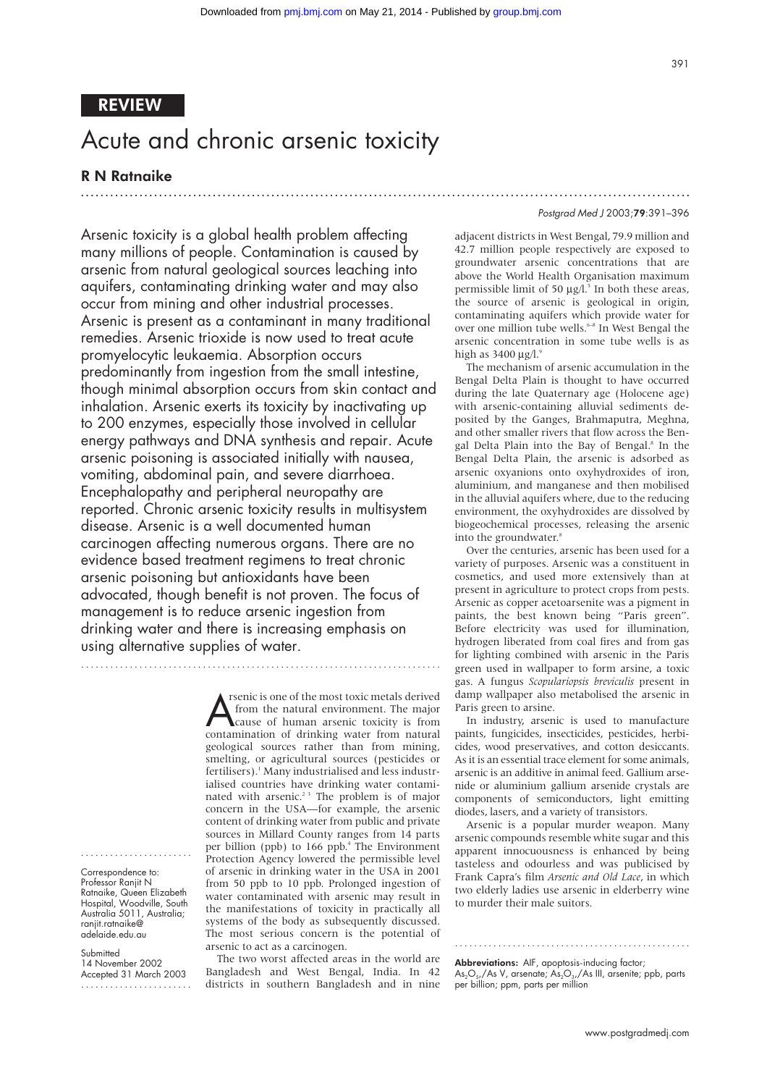# Acute and chronic arsenic toxicity

# R N Ratnaike

.............................................................................................................................

REVIEW

Arsenic toxicity is a global health problem affecting many millions of people. Contamination is caused by arsenic from natural geological sources leaching into aquifers, contaminating drinking water and may also occur from mining and other industrial processes. Arsenic is present as a contaminant in many traditional remedies. Arsenic trioxide is now used to treat acute promyelocytic leukaemia. Absorption occurs predominantly from ingestion from the small intestine, though minimal absorption occurs from skin contact and inhalation. Arsenic exerts its toxicity by inactivating up to 200 enzymes, especially those involved in cellular energy pathways and DNA synthesis and repair. Acute arsenic poisoning is associated initially with nausea, vomiting, abdominal pain, and severe diarrhoea. Encephalopathy and peripheral neuropathy are reported. Chronic arsenic toxicity results in multisystem disease. Arsenic is a well documented human carcinogen affecting numerous organs. There are no evidence based treatment regimens to treat chronic arsenic poisoning but antioxidants have been advocated, though benefit is not proven. The focus of management is to reduce arsenic ingestion from drinking water and there is increasing emphasis on using alternative supplies of water.

..........................................................................

**A** rsenic is one of the most toxic metals derived<br>from the natural environment. The major<br>cause of human arsenic toxicity is from<br>contamination of drinking water from natural rsenic is one of the most toxic metals derived from the natural environment. The major cause of human arsenic toxicity is from geological sources rather than from mining, smelting, or agricultural sources (pesticides or fertilisers).<sup>1</sup> Many industrialised and less industrialised countries have drinking water contaminated with arsenic.<sup>23</sup> The problem is of major concern in the USA—for example, the arsenic content of drinking water from public and private sources in Millard County ranges from 14 parts per billion (ppb) to 166 ppb.4 The Environment Protection Agency lowered the permissible level of arsenic in drinking water in the USA in 2001 from 50 ppb to 10 ppb. Prolonged ingestion of water contaminated with arsenic may result in the manifestations of toxicity in practically all systems of the body as subsequently discussed. The most serious concern is the potential of arsenic to act as a carcinogen.

The two worst affected areas in the world are Bangladesh and West Bengal, India. In 42 districts in southern Bangladesh and in nine

# *Postgrad Med J* 2003;79:391–396

adjacent districts in West Bengal, 79.9 million and 42.7 million people respectively are exposed to groundwater arsenic concentrations that are above the World Health Organisation maximum permissible limit of 50  $\mu$ g/l.<sup>5</sup> In both these areas, the source of arsenic is geological in origin, contaminating aquifers which provide water for over one million tube wells.<sup>6-8</sup> In West Bengal the arsenic concentration in some tube wells is as high as  $3400 \mu g/l$ .<sup>9</sup>

The mechanism of arsenic accumulation in the Bengal Delta Plain is thought to have occurred during the late Quaternary age (Holocene age) with arsenic-containing alluvial sediments deposited by the Ganges, Brahmaputra, Meghna, and other smaller rivers that flow across the Bengal Delta Plain into the Bay of Bengal.<sup>8</sup> In the Bengal Delta Plain, the arsenic is adsorbed as arsenic oxyanions onto oxyhydroxides of iron, aluminium, and manganese and then mobilised in the alluvial aquifers where, due to the reducing environment, the oxyhydroxides are dissolved by biogeochemical processes, releasing the arsenic into the groundwater.<sup>8</sup>

Over the centuries, arsenic has been used for a variety of purposes. Arsenic was a constituent in cosmetics, and used more extensively than at present in agriculture to protect crops from pests. Arsenic as copper acetoarsenite was a pigment in paints, the best known being "Paris green". Before electricity was used for illumination, hydrogen liberated from coal fires and from gas for lighting combined with arsenic in the Paris green used in wallpaper to form arsine, a toxic gas. A fungus *Scopulariopsis breviculis* present in damp wallpaper also metabolised the arsenic in Paris green to arsine.

In industry, arsenic is used to manufacture paints, fungicides, insecticides, pesticides, herbicides, wood preservatives, and cotton desiccants. As it is an essential trace element for some animals, arsenic is an additive in animal feed. Gallium arsenide or aluminium gallium arsenide crystals are components of semiconductors, light emitting diodes, lasers, and a variety of transistors.

Arsenic is a popular murder weapon. Many arsenic compounds resemble white sugar and this apparent innocuousness is enhanced by being tasteless and odourless and was publicised by Frank Capra's film *Arsenic and Old Lace*, in which two elderly ladies use arsenic in elderberry wine to murder their male suitors.

Abbreviations: AIF, apoptosis-inducing factor; As<sub>2</sub>O<sub>5</sub>,/As V, arsenate; As<sub>2</sub>O<sub>3</sub>,/As III, arsenite; ppb, parts per billion; ppm, parts per million

.................................................

Correspondence to: Professor Ranjit N Ratnaike, Queen Elizabeth Hospital, Woodville, South Australia 5011, Australia; ranjit.ratnaike@ adelaide.edu.au

.......................

Submitted 14 November 2002 Accepted 31 March 2003 .......................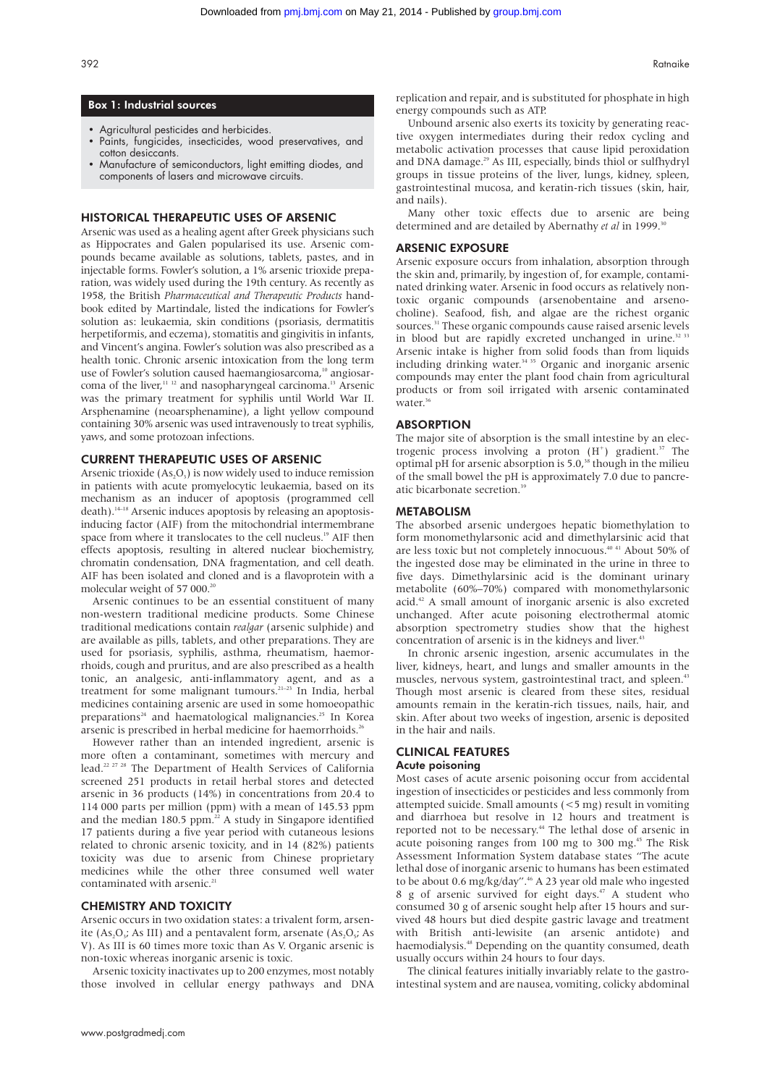# Box 1: Industrial sources

- Agricultural pesticides and herbicides.
- Paints, fungicides, insecticides, wood preservatives, and cotton desiccants.
- Manufacture of semiconductors, light emitting diodes, and components of lasers and microwave circuits.

# HISTORICAL THERAPEUTIC USES OF ARSENIC

Arsenic was used as a healing agent after Greek physicians such as Hippocrates and Galen popularised its use. Arsenic compounds became available as solutions, tablets, pastes, and in injectable forms. Fowler's solution, a 1% arsenic trioxide preparation, was widely used during the 19th century. As recently as 1958, the British *Pharmaceutical and Therapeutic Products* handbook edited by Martindale, listed the indications for Fowler's solution as: leukaemia, skin conditions (psoriasis, dermatitis herpetiformis, and eczema), stomatitis and gingivitis in infants, and Vincent's angina. Fowler's solution was also prescribed as a health tonic. Chronic arsenic intoxication from the long term use of Fowler's solution caused haemangiosarcoma,<sup>10</sup> angiosarcoma of the liver,<sup>11 12</sup> and nasopharyngeal carcinoma.<sup>13</sup> Arsenic was the primary treatment for syphilis until World War II. Arsphenamine (neoarsphenamine), a light yellow compound containing 30% arsenic was used intravenously to treat syphilis, yaws, and some protozoan infections.

# CURRENT THERAPEUTIC USES OF ARSENIC

Arsenic trioxide  $(As, O<sub>3</sub>)$  is now widely used to induce remission in patients with acute promyelocytic leukaemia, based on its mechanism as an inducer of apoptosis (programmed cell death).<sup>14-18</sup> Arsenic induces apoptosis by releasing an apoptosisinducing factor (AIF) from the mitochondrial intermembrane space from where it translocates to the cell nucleus.<sup>19</sup> AIF then effects apoptosis, resulting in altered nuclear biochemistry, chromatin condensation, DNA fragmentation, and cell death. AIF has been isolated and cloned and is a flavoprotein with a molecular weight of 57 000. $^{20}$ 

Arsenic continues to be an essential constituent of many non-western traditional medicine products. Some Chinese traditional medications contain *realgar* (arsenic sulphide) and are available as pills, tablets, and other preparations. They are used for psoriasis, syphilis, asthma, rheumatism, haemorrhoids, cough and pruritus, and are also prescribed as a health tonic, an analgesic, anti-inflammatory agent, and as a treatment for some malignant tumours.<sup>21–23</sup> In India, herbal medicines containing arsenic are used in some homoeopathic preparations<sup>24</sup> and haematological malignancies.<sup>25</sup> In Korea arsenic is prescribed in herbal medicine for haemorrhoids.<sup>26</sup>

However rather than an intended ingredient, arsenic is more often a contaminant, sometimes with mercury and lead.<sup>22 27</sup> <sup>28</sup> The Department of Health Services of California screened 251 products in retail herbal stores and detected arsenic in 36 products (14%) in concentrations from 20.4 to 114 000 parts per million (ppm) with a mean of 145.53 ppm and the median  $180.5$  ppm.<sup>22</sup> A study in Singapore identified 17 patients during a five year period with cutaneous lesions related to chronic arsenic toxicity, and in 14 (82%) patients toxicity was due to arsenic from Chinese proprietary medicines while the other three consumed well water contaminated with arsenic.<sup>3</sup>

#### CHEMISTRY AND TOXICITY

Arsenic occurs in two oxidation states: a trivalent form, arsenite (As,  $O_3$ ; As III) and a pentavalent form, arsenate (As,  $O_5$ ; As V). As III is 60 times more toxic than As V. Organic arsenic is non-toxic whereas inorganic arsenic is toxic.

Arsenic toxicity inactivates up to 200 enzymes, most notably those involved in cellular energy pathways and DNA

replication and repair, and is substituted for phosphate in high energy compounds such as ATP.

Unbound arsenic also exerts its toxicity by generating reactive oxygen intermediates during their redox cycling and metabolic activation processes that cause lipid peroxidation and DNA damage.<sup>29</sup> As III, especially, binds thiol or sulfhydryl groups in tissue proteins of the liver, lungs, kidney, spleen, gastrointestinal mucosa, and keratin-rich tissues (skin, hair, and nails).

Many other toxic effects due to arsenic are being determined and are detailed by Abernathy *et al* in 1999.30

#### ARSENIC EXPOSURE

Arsenic exposure occurs from inhalation, absorption through the skin and, primarily, by ingestion of, for example, contaminated drinking water. Arsenic in food occurs as relatively nontoxic organic compounds (arsenobentaine and arsenocholine). Seafood, fish, and algae are the richest organic sources.<sup>31</sup> These organic compounds cause raised arsenic levels in blood but are rapidly excreted unchanged in urine.<sup>32 33</sup> Arsenic intake is higher from solid foods than from liquids including drinking water.<sup>34 35</sup> Organic and inorganic arsenic compounds may enter the plant food chain from agricultural products or from soil irrigated with arsenic contaminated water.<sup>36</sup>

# **ABSORPTION**

The major site of absorption is the small intestine by an electrogenic process involving a proton  $(H^+)$  gradient.<sup>37</sup> The optimal pH for arsenic absorption is 5.0,<sup>38</sup> though in the milieu of the small bowel the pH is approximately 7.0 due to pancreatic bicarbonate secretion.<sup>39</sup>

#### METABOLISM

The absorbed arsenic undergoes hepatic biomethylation to form monomethylarsonic acid and dimethylarsinic acid that are less toxic but not completely innocuous.40 41 About 50% of the ingested dose may be eliminated in the urine in three to five days. Dimethylarsinic acid is the dominant urinary metabolite (60%–70%) compared with monomethylarsonic acid.42 A small amount of inorganic arsenic is also excreted unchanged. After acute poisoning electrothermal atomic absorption spectrometry studies show that the highest concentration of arsenic is in the kidneys and liver.<sup>43</sup>

In chronic arsenic ingestion, arsenic accumulates in the liver, kidneys, heart, and lungs and smaller amounts in the muscles, nervous system, gastrointestinal tract, and spleen.<sup>43</sup> Though most arsenic is cleared from these sites, residual amounts remain in the keratin-rich tissues, nails, hair, and skin. After about two weeks of ingestion, arsenic is deposited in the hair and nails.

# CLINICAL FEATURES

#### Acute poisoning

Most cases of acute arsenic poisoning occur from accidental ingestion of insecticides or pesticides and less commonly from attempted suicide. Small amounts (<5 mg) result in vomiting and diarrhoea but resolve in 12 hours and treatment is reported not to be necessary.44 The lethal dose of arsenic in acute poisoning ranges from  $100$  mg to  $300$  mg.<sup>45</sup> The Risk Assessment Information System database states "The acute lethal dose of inorganic arsenic to humans has been estimated to be about 0.6 mg/kg/day".<sup>46</sup> A 23 year old male who ingested 8 g of arsenic survived for eight days.<sup>47</sup> A student who consumed 30 g of arsenic sought help after 15 hours and survived 48 hours but died despite gastric lavage and treatment with British anti-lewisite (an arsenic antidote) and haemodialysis.48 Depending on the quantity consumed, death usually occurs within 24 hours to four days.

The clinical features initially invariably relate to the gastrointestinal system and are nausea, vomiting, colicky abdominal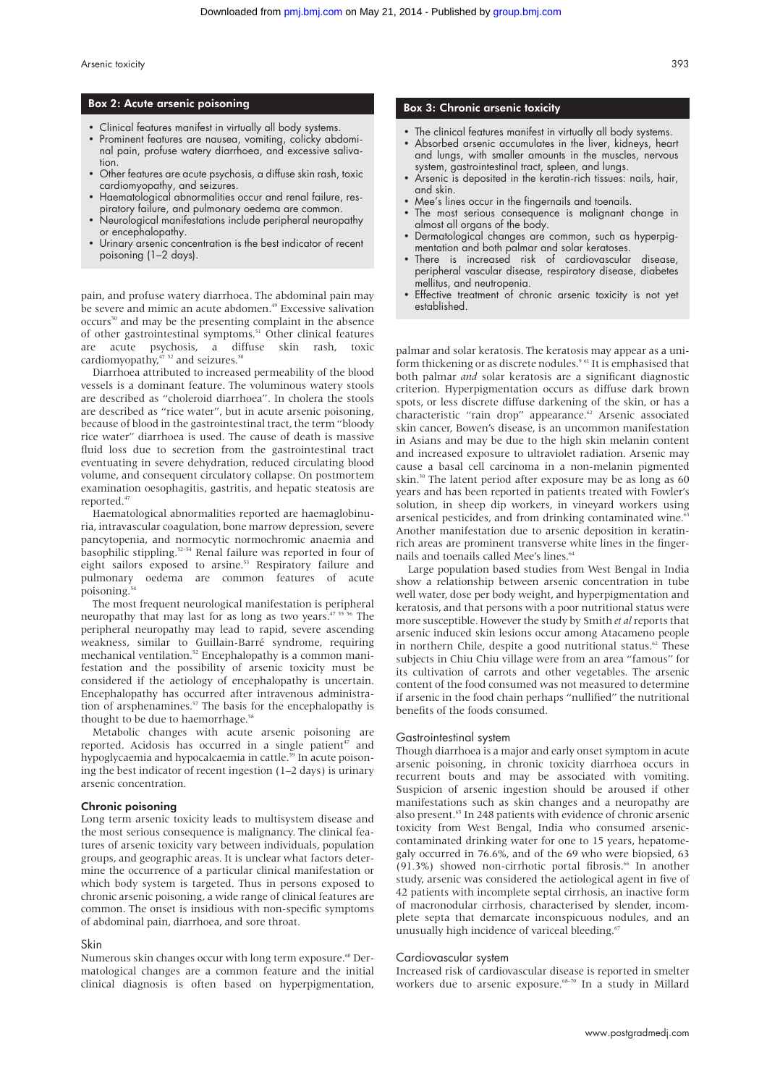# Box 2: Acute arsenic poisoning

- Clinical features manifest in virtually all body systems.
- Prominent features are nausea, vomiting, colicky abdominal pain, profuse watery diarrhoea, and excessive salivation.
- Other features are acute psychosis, a diffuse skin rash, toxic cardiomyopathy, and seizures.
- Haematological abnormalities occur and renal failure, respiratory failure, and pulmonary oedema are common.
- Neurological manifestations include peripheral neuropathy or encephalopathy.
- Urinary arsenic concentration is the best indicator of recent poisoning (1–2 days).

pain, and profuse watery diarrhoea. The abdominal pain may be severe and mimic an acute abdomen.<sup>49</sup> Excessive salivation occurs<sup>50</sup> and may be the presenting complaint in the absence of other gastrointestinal symptoms.<sup>51</sup> Other clinical features are acute psychosis, a diffuse skin rash, toxic cardiomyopathy, $47$ <sup>52</sup> and seizures.<sup>50</sup>

Diarrhoea attributed to increased permeability of the blood vessels is a dominant feature. The voluminous watery stools are described as "choleroid diarrhoea". In cholera the stools are described as "rice water", but in acute arsenic poisoning, because of blood in the gastrointestinal tract, the term "bloody rice water" diarrhoea is used. The cause of death is massive fluid loss due to secretion from the gastrointestinal tract eventuating in severe dehydration, reduced circulating blood volume, and consequent circulatory collapse. On postmortem examination oesophagitis, gastritis, and hepatic steatosis are reported.<sup>4</sup>

Haematological abnormalities reported are haemaglobinuria, intravascular coagulation, bone marrow depression, severe pancytopenia, and normocytic normochromic anaemia and basophilic stippling.52–54 Renal failure was reported in four of eight sailors exposed to arsine.<sup>53</sup> Respiratory failure and pulmonary oedema are common features of acute poisoning.

The most frequent neurological manifestation is peripheral neuropathy that may last for as long as two years.<sup>47 55 56</sup> The peripheral neuropathy may lead to rapid, severe ascending weakness, similar to Guillain-Barré syndrome, requiring mechanical ventilation.<sup>52</sup> Encephalopathy is a common manifestation and the possibility of arsenic toxicity must be considered if the aetiology of encephalopathy is uncertain. Encephalopathy has occurred after intravenous administration of arsphenamines.<sup>57</sup> The basis for the encephalopathy is thought to be due to haemorrhage.<sup>58</sup>

Metabolic changes with acute arsenic poisoning are reported. Acidosis has occurred in a single patient<sup>47</sup> and hypoglycaemia and hypocalcaemia in cattle.<sup>59</sup> In acute poisoning the best indicator of recent ingestion (1–2 days) is urinary arsenic concentration.

#### Chronic poisoning

Long term arsenic toxicity leads to multisystem disease and the most serious consequence is malignancy. The clinical features of arsenic toxicity vary between individuals, population groups, and geographic areas. It is unclear what factors determine the occurrence of a particular clinical manifestation or which body system is targeted. Thus in persons exposed to chronic arsenic poisoning, a wide range of clinical features are common. The onset is insidious with non-specific symptoms of abdominal pain, diarrhoea, and sore throat.

#### Skin

Numerous skin changes occur with long term exposure.<sup>60</sup> Dermatological changes are a common feature and the initial clinical diagnosis is often based on hyperpigmentation,

### Box 3: Chronic arsenic toxicity

- The clinical features manifest in virtually all body systems.
- Absorbed arsenic accumulates in the liver, kidneys, heart and lungs, with smaller amounts in the muscles, nervous system, gastrointestinal tract, spleen, and lungs.
- Arsenic is deposited in the keratin-rich tissues: nails, hair, and skin.
- Mee's lines occur in the fingernails and toenails.
- The most serious consequence is malignant change in almost all organs of the body.
- Dermatological changes are common, such as hyperpigmentation and both palmar and solar keratoses.
- There is increased risk of cardiovascular disease, peripheral vascular disease, respiratory disease, diabetes mellitus, and neutropenia.
- Effective treatment of chronic arsenic toxicity is not yet established.

palmar and solar keratosis. The keratosis may appear as a uniform thickening or as discrete nodules.<sup>9 61</sup> It is emphasised that both palmar *and* solar keratosis are a significant diagnostic criterion. Hyperpigmentation occurs as diffuse dark brown spots, or less discrete diffuse darkening of the skin, or has a characteristic "rain drop" appearance.<sup>62</sup> Arsenic associated skin cancer, Bowen's disease, is an uncommon manifestation in Asians and may be due to the high skin melanin content and increased exposure to ultraviolet radiation. Arsenic may cause a basal cell carcinoma in a non-melanin pigmented skin.<sup>30</sup> The latent period after exposure may be as long as 60 years and has been reported in patients treated with Fowler's solution, in sheep dip workers, in vineyard workers using arsenical pesticides, and from drinking contaminated wine. $65$ Another manifestation due to arsenic deposition in keratinrich areas are prominent transverse white lines in the fingernails and toenails called Mee's lines.<sup>6</sup>

Large population based studies from West Bengal in India show a relationship between arsenic concentration in tube well water, dose per body weight, and hyperpigmentation and keratosis, and that persons with a poor nutritional status were more susceptible. However the study by Smith *et al* reports that arsenic induced skin lesions occur among Atacameno people in northern Chile, despite a good nutritional status.<sup>62</sup> These subjects in Chiu Chiu village were from an area "famous" for its cultivation of carrots and other vegetables. The arsenic content of the food consumed was not measured to determine if arsenic in the food chain perhaps "nullified" the nutritional benefits of the foods consumed.

#### Gastrointestinal system

Though diarrhoea is a major and early onset symptom in acute arsenic poisoning, in chronic toxicity diarrhoea occurs in recurrent bouts and may be associated with vomiting. Suspicion of arsenic ingestion should be aroused if other manifestations such as skin changes and a neuropathy are also present.<sup>65</sup> In 248 patients with evidence of chronic arsenic toxicity from West Bengal, India who consumed arseniccontaminated drinking water for one to 15 years, hepatomegaly occurred in 76.6%, and of the 69 who were biopsied, 63 (91.3%) showed non-cirrhotic portal fibrosis.<sup>66</sup> In another study, arsenic was considered the aetiological agent in five of 42 patients with incomplete septal cirrhosis, an inactive form of macronodular cirrhosis, characterised by slender, incomplete septa that demarcate inconspicuous nodules, and an unusually high incidence of variceal bleeding.<sup>67</sup>

#### Cardiovascular system

Increased risk of cardiovascular disease is reported in smelter workers due to arsenic exposure.<sup>68-70</sup> In a study in Millard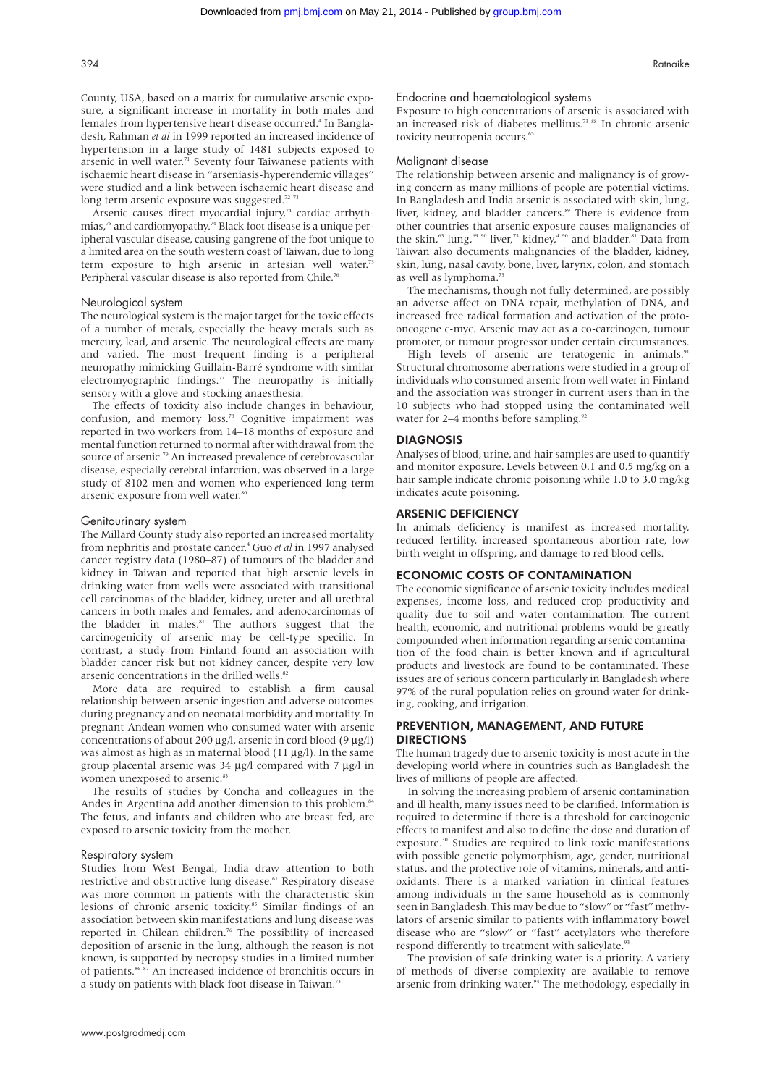# County, USA, based on a matrix for cumulative arsenic exposure, a significant increase in mortality in both males and females from hypertensive heart disease occurred.<sup>4</sup> In Bangladesh, Rahman *et al* in 1999 reported an increased incidence of hypertension in a large study of 1481 subjects exposed to arsenic in well water.<sup>71</sup> Seventy four Taiwanese patients with ischaemic heart disease in "arseniasis-hyperendemic villages" were studied and a link between ischaemic heart disease and long term arsenic exposure was suggested.<sup>72 73</sup>

Arsenic causes direct myocardial injury, $74$  cardiac arrhythmias,<sup>75</sup> and cardiomyopathy.<sup>74</sup> Black foot disease is a unique peripheral vascular disease, causing gangrene of the foot unique to a limited area on the south western coast of Taiwan, due to long term exposure to high arsenic in artesian well water.<sup>73</sup> Peripheral vascular disease is also reported from Chile.<sup>76</sup>

#### Neurological system

The neurological system is the major target for the toxic effects of a number of metals, especially the heavy metals such as mercury, lead, and arsenic. The neurological effects are many and varied. The most frequent finding is a peripheral neuropathy mimicking Guillain-Barré syndrome with similar electromyographic findings.<sup>77</sup> The neuropathy is initially sensory with a glove and stocking anaesthesia.

The effects of toxicity also include changes in behaviour, confusion, and memory loss.<sup>78</sup> Cognitive impairment was reported in two workers from 14–18 months of exposure and mental function returned to normal after withdrawal from the source of arsenic.<sup>79</sup> An increased prevalence of cerebrovascular disease, especially cerebral infarction, was observed in a large study of 8102 men and women who experienced long term arsenic exposure from well water.<sup>80</sup>

#### Genitourinary system

The Millard County study also reported an increased mortality from nephritis and prostate cancer.<sup>4</sup> Guo et al in 1997 analysed cancer registry data (1980–87) of tumours of the bladder and kidney in Taiwan and reported that high arsenic levels in drinking water from wells were associated with transitional cell carcinomas of the bladder, kidney, ureter and all urethral cancers in both males and females, and adenocarcinomas of the bladder in males.<sup>81</sup> The authors suggest that the carcinogenicity of arsenic may be cell-type specific. In contrast, a study from Finland found an association with bladder cancer risk but not kidney cancer, despite very low arsenic concentrations in the drilled wells.<sup>82</sup>

More data are required to establish a firm causal relationship between arsenic ingestion and adverse outcomes during pregnancy and on neonatal morbidity and mortality. In pregnant Andean women who consumed water with arsenic concentrations of about 200 µg/l, arsenic in cord blood (9 µg/l) was almost as high as in maternal blood  $(11 \mu g/l)$ . In the same group placental arsenic was 34 µg/l compared with 7 µg/l in women unexposed to arsenic.<sup>83</sup>

The results of studies by Concha and colleagues in the Andes in Argentina add another dimension to this problem.<sup>84</sup> The fetus, and infants and children who are breast fed, are exposed to arsenic toxicity from the mother.

#### Respiratory system

Studies from West Bengal, India draw attention to both restrictive and obstructive lung disease.<sup>61</sup> Respiratory disease was more common in patients with the characteristic skin lesions of chronic arsenic toxicity.<sup>85</sup> Similar findings of an association between skin manifestations and lung disease was reported in Chilean children.<sup>76</sup> The possibility of increased deposition of arsenic in the lung, although the reason is not known, is supported by necropsy studies in a limited number of patients.<sup>86 87</sup> An increased incidence of bronchitis occurs in a study on patients with black foot disease in Taiwan.73

Exposure to high concentrations of arsenic is associated with an increased risk of diabetes mellitus.<sup>73 88</sup> In chronic arsenic toxicity neutropenia occurs.<sup>65</sup>

### Malignant disease

The relationship between arsenic and malignancy is of growing concern as many millions of people are potential victims. In Bangladesh and India arsenic is associated with skin, lung, liver, kidney, and bladder cancers.<sup>89</sup> There is evidence from other countries that arsenic exposure causes malignancies of the skin,<sup>63</sup> lung,<sup>69 90</sup> liver,<sup>73</sup> kidney,<sup>4 90</sup> and bladder.<sup>81</sup> Data from Taiwan also documents malignancies of the bladder, kidney, skin, lung, nasal cavity, bone, liver, larynx, colon, and stomach as well as lymphoma.<sup>73</sup>

The mechanisms, though not fully determined, are possibly an adverse affect on DNA repair, methylation of DNA, and increased free radical formation and activation of the protooncogene c-myc. Arsenic may act as a co-carcinogen, tumour promoter, or tumour progressor under certain circumstances.

High levels of arsenic are teratogenic in animals.<sup>91</sup> Structural chromosome aberrations were studied in a group of individuals who consumed arsenic from well water in Finland and the association was stronger in current users than in the 10 subjects who had stopped using the contaminated well water for  $2-4$  months before sampling.<sup>92</sup>

#### DIAGNOSIS

Analyses of blood, urine, and hair samples are used to quantify and monitor exposure. Levels between 0.1 and 0.5 mg/kg on a hair sample indicate chronic poisoning while 1.0 to 3.0 mg/kg indicates acute poisoning.

# ARSENIC DEFICIENCY

In animals deficiency is manifest as increased mortality, reduced fertility, increased spontaneous abortion rate, low birth weight in offspring, and damage to red blood cells.

# ECONOMIC COSTS OF CONTAMINATION

The economic significance of arsenic toxicity includes medical expenses, income loss, and reduced crop productivity and quality due to soil and water contamination. The current health, economic, and nutritional problems would be greatly compounded when information regarding arsenic contamination of the food chain is better known and if agricultural products and livestock are found to be contaminated. These issues are of serious concern particularly in Bangladesh where 97% of the rural population relies on ground water for drinking, cooking, and irrigation.

# PREVENTION, MANAGEMENT, AND FUTURE **DIRECTIONS**

The human tragedy due to arsenic toxicity is most acute in the developing world where in countries such as Bangladesh the lives of millions of people are affected.

In solving the increasing problem of arsenic contamination and ill health, many issues need to be clarified. Information is required to determine if there is a threshold for carcinogenic effects to manifest and also to define the dose and duration of exposure.30 Studies are required to link toxic manifestations with possible genetic polymorphism, age, gender, nutritional status, and the protective role of vitamins, minerals, and antioxidants. There is a marked variation in clinical features among individuals in the same household as is commonly seen in Bangladesh. This may be due to "slow" or "fast" methylators of arsenic similar to patients with inflammatory bowel disease who are "slow" or "fast" acetylators who therefore respond differently to treatment with salicylate.<sup>93</sup>

The provision of safe drinking water is a priority. A variety of methods of diverse complexity are available to remove arsenic from drinking water.<sup>94</sup> The methodology, especially in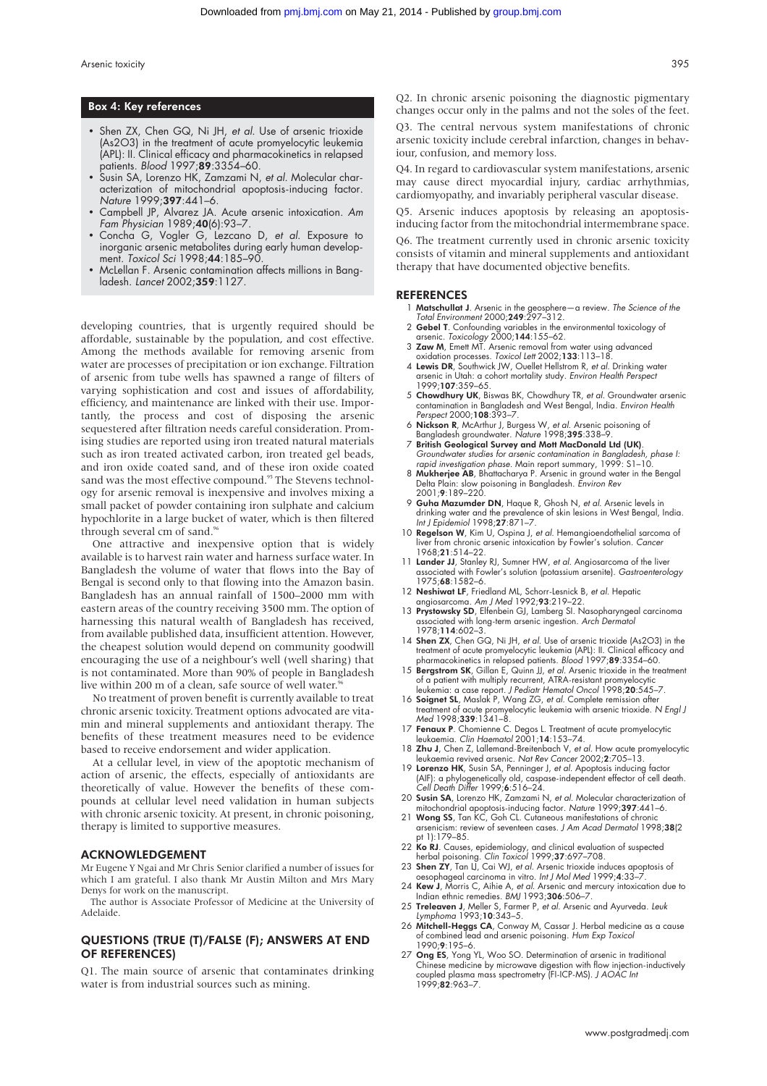#### Box 4: Key references

- Shen ZX, Chen GQ, Ni JH, *et al*. Use of arsenic trioxide (As2O3) in the treatment of acute promyelocytic leukemia (APL): II. Clinical efficacy and pharmacokinetics in relapsed patients. *Blood* 1997;89:3354–60.
- Susin SA, Lorenzo HK, Zamzami N, *et al.* Molecular characterization of mitochondrial apoptosis-inducing factor. *Nature* 1999;397:441–6.
- Campbell JP, Alvarez JA. Acute arsenic intoxication. *Am Fam Physician* 1989;40(6):93–7.
- Concha G, Vogler G, Lezcano D, *et al*. Exposure to inorganic arsenic metabolites during early human development. *Toxicol Sci* 1998;44:185–90.
- McLellan F. Arsenic contamination affects millions in Bangladesh. *Lancet* 2002;359:1127.

developing countries, that is urgently required should be affordable, sustainable by the population, and cost effective. Among the methods available for removing arsenic from water are processes of precipitation or ion exchange. Filtration of arsenic from tube wells has spawned a range of filters of varying sophistication and cost and issues of affordability, efficiency, and maintenance are linked with their use. Importantly, the process and cost of disposing the arsenic sequestered after filtration needs careful consideration. Promising studies are reported using iron treated natural materials such as iron treated activated carbon, iron treated gel beads, and iron oxide coated sand, and of these iron oxide coated sand was the most effective compound.<sup>95</sup> The Stevens technology for arsenic removal is inexpensive and involves mixing a small packet of powder containing iron sulphate and calcium hypochlorite in a large bucket of water, which is then filtered through several cm of sand.<sup>96</sup>

One attractive and inexpensive option that is widely available is to harvest rain water and harness surface water. In Bangladesh the volume of water that flows into the Bay of Bengal is second only to that flowing into the Amazon basin. Bangladesh has an annual rainfall of 1500–2000 mm with eastern areas of the country receiving 3500 mm. The option of harnessing this natural wealth of Bangladesh has received, from available published data, insufficient attention. However, the cheapest solution would depend on community goodwill encouraging the use of a neighbour's well (well sharing) that is not contaminated. More than 90% of people in Bangladesh live within 200 m of a clean, safe source of well water.<sup>96</sup>

No treatment of proven benefit is currently available to treat chronic arsenic toxicity. Treatment options advocated are vitamin and mineral supplements and antioxidant therapy. The benefits of these treatment measures need to be evidence based to receive endorsement and wider application.

At a cellular level, in view of the apoptotic mechanism of action of arsenic, the effects, especially of antioxidants are theoretically of value. However the benefits of these compounds at cellular level need validation in human subjects with chronic arsenic toxicity. At present, in chronic poisoning, therapy is limited to supportive measures.

# ACKNOWLEDGEMENT

Mr Eugene Y Ngai and Mr Chris Senior clarified a number of issues for which I am grateful. I also thank Mr Austin Milton and Mrs Mary Denys for work on the manuscript.

The author is Associate Professor of Medicine at the University of Adelaide.

# QUESTIONS (TRUE (T)/FALSE (F); ANSWERS AT END OF REFERENCES)

Q1. The main source of arsenic that contaminates drinking water is from industrial sources such as mining.

Q2. In chronic arsenic poisoning the diagnostic pigmentary changes occur only in the palms and not the soles of the feet.

Q3. The central nervous system manifestations of chronic arsenic toxicity include cerebral infarction, changes in behaviour, confusion, and memory loss.

Q4. In regard to cardiovascular system manifestations, arsenic may cause direct myocardial injury, cardiac arrhythmias, cardiomyopathy, and invariably peripheral vascular disease.

Q5. Arsenic induces apoptosis by releasing an apoptosisinducing factor from the mitochondrial intermembrane space.

Q6. The treatment currently used in chronic arsenic toxicity consists of vitamin and mineral supplements and antioxidant therapy that have documented objective benefits.

#### **REFERENCES**

- 1 Matschullat J. Arsenic in the geosphere—a review. *The Science of the Total Environment* 2000;249:297–312.
- 2 Gebel T. Confounding variables in the environmental toxicology of arsenic. *Toxicology* 2000;144:155–62. 3 Zaw M, Emett MT. Arsenic removal from water using advanced
- oxidation processes. *Toxicol Lett* 2002;133:113–18. 4 Lewis DR, Southwick JW, Ouellet Hellstrom R, *et al*. Drinking water
- arsenic in Utah: a cohort mortality study. *Environ Health Perspect* 1999;107:359–65.
- 5 Chowdhury UK, Biswas BK, Chowdhury TR, *et al.* Groundwater arsenic contamination in Bangladesh and West Bengal, India. *Environ Health Perspect* 2000;108:393–7.
- 6 Nickson R, McArthur J, Burgess W, *et al.* Arsenic poisoning of Bangladesh groundwater. *Nature* 1998;395:338–9.
- 7 British Geological Survey and Mott MacDonald Ltd (UK). *Groundwater studies for arsenic contamination in Bangladesh, phase I: rapid investigation phase*. Main report summary, 1999: S1–10.
- 8 Mukherjee AB, Bhattacharya P. Arsenic in ground water in the Bengal Delta Plain: slow poisoning in Bangladesh. *Environ Rev* 2001;9:189–220.
- 9 Guha Mazumder DN, Haque R, Ghosh N, *et al*. Arsenic levels in drinking water and the prevalence of skin lesions in West Bengal, India. *Int J Epidemiol* 1998;27:871–7.
- 10 Regelson W, Kim U, Ospina J, *et al*. Hemangioendothelial sarcoma of liver from chronic arsenic intoxication by Fowler's solution. *Cancer* 1968;21:514–22.
- 11 Lander JJ, Stanley RJ, Sumner HW, *et al*. Angiosarcoma of the liver associated with Fowler's solution (potassium arsenite). *Gastroenterology* 1975;68:1582–6.
- 12 Neshiwat LF, Friedland ML, Schorr-Lesnick B, *et al.* Hepatic angiosarcoma. *Am J Med* 1992;93:219–22.
- 13 Prystowsky SD, Elfenbein GJ, Lamberg SI. Nasopharyngeal carcinoma associated with long-term arsenic ingestion. *Arch Dermatol* 1978;114:602–3.
- 14 Shen ZX, Chen GQ, Ni JH, *et al.* Use of arsenic trioxide (As2O3) in the treatment of acute promyelocytic leukemia (APL): II. Clinical efficacy and
- pharmacokinetics in relapsed patients. *Blood* 1997;89:3354–60. 15 Bergstrom SK, Gillan E, Quinn JJ, *et al*. Arsenic trioxide in the treatment of a patient with multiply recurrent, ATRA-resistant promyelocytic
- leukemia: a case report*. J Pediatr Hematol Oncol* 1998;20:545–7. 16 Soignet SL, Maslak P, Wang ZG, *et al.* Complete remission after treatment of acute promyelocytic leukemia with arsenic trioxide. *N Engl J*
- *Med* 1998;339:1341–8. 17 Fenaux P. Chomienne C. Degos L. Treatment of acute promyelocytic leukaemia. *Clin Haematol* 2001;14:153–74.
- 18 Zhu J, Chen Z, Lallemand-Breitenbach V, *et al*. How acute promyelocytic
- leukaemia revived arsenic. *Nat Rev Cancer* 2002;2:705–13. 19 Lorenzo HK, Susin SA, Penninger J, *et al*. Apoptosis inducing factor (AIF): a phylogenetically old, caspase-independent effector of cell death. *Cell Death Differ* 1999;6:516–24.
- 20 Susin SA, Lorenzo HK, Zamzami N, *et al*. Molecular characterization of mitochondrial apoptosis-inducing factor. *Nature* 1999;397:441–6. 21 Wong SS, Tan KC, Goh CL. Cutaneous manifestations of chronic
- arsenicism: review of seventeen cases. *J Am Acad Dermatol* 1998;38(2 pt 1):179–85.
- 22 Ko RJ. Causes, epidemiology, and clinical evaluation of suspected herbal poisoning. *Clin Toxicol* 1999;37:697–708.
- 23 Shen ZY, Tan LJ, Cai WJ, *et al.* Arsenic trioxide induces apoptosis of oesophageal carcinoma in vitro. *Int J Mol Med* 1999;4:33–7. 24 Kew J, Morris C, Aihie A, *et al*. Arsenic and mercury intoxication due to
- Indian ethnic remedies. *BMJ* 1993;306:506–7. 25 Treleaven J, Meller S, Farmer P, *et al.* Arsenic and Ayurveda. *Leuk*
- *Lymphoma* 1993;10:343–5.
- 26 Mitchell-Heggs CA, Conway M, Cassar J. Herbal medicine as a cause of combined lead and arsenic poisoning. *Hum Exp Toxicol* 01 combined icu<br>1990;9:195–6.
- 27 Ong ES, Yong YL, Woo SO. Determination of arsenic in traditional Chinese medicine by microwave digestion with flow injection-inductively coupled plasma mass spectrometry (FI-ICP-MS). *J AOAC Int* 1999;82:963–7.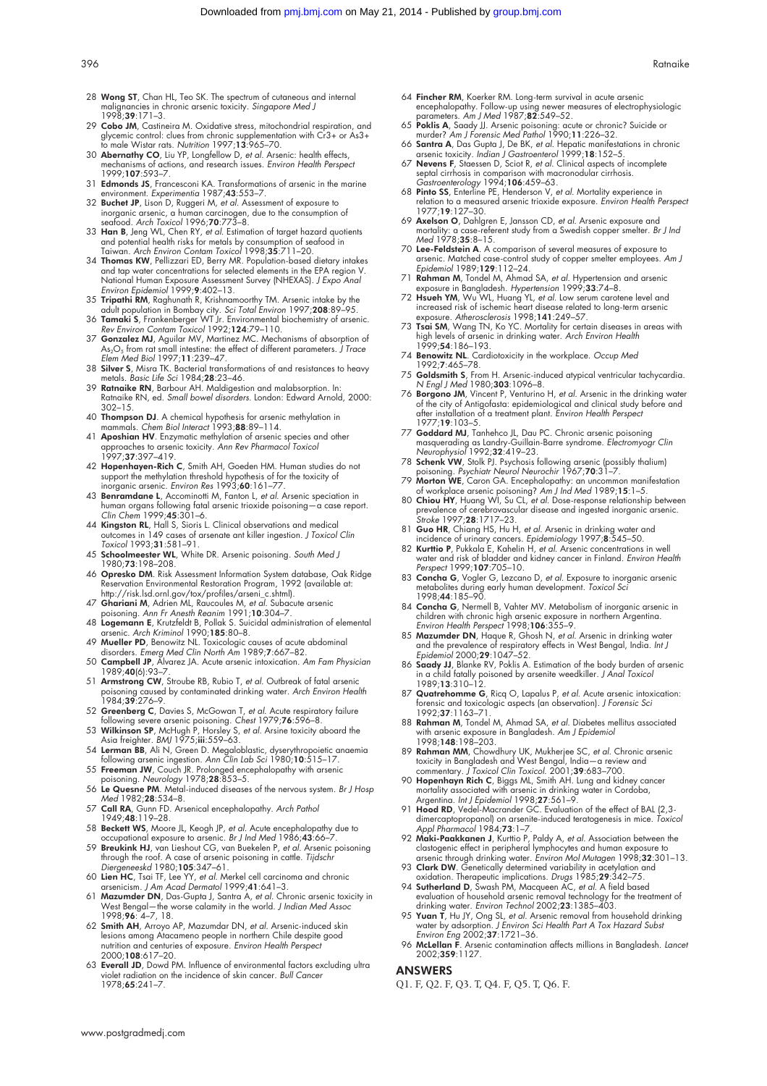- 28 Wong ST, Chan HL, Teo SK. The spectrum of cutaneous and internal malignancies in chronic arsenic toxicity. *Singapore Med J* 1998;39:171–3.
- 29 Cobo JM, Castineira M. Oxidative stress, mitochondrial respiration, and glycemic control: clues from chronic supplementation with Cr3+ or As3+ to male Wistar rats. *Nutrition* 1997;13:965–70.
- 30 Abernathy CO, Liu YP, Longfellow D, *et al.* Arsenic: health effects, mechanisms of actions, and research issues. *Environ Health Perspect* 1999:107:593-7
- 31 Edmonds JS, Francesconi KA. Transformations of arsenic in the marine environment. *Experimentia* 1987;43:553–7.
- 32 Buchet JP, Lison D, Ruggeri M, *et al*. Assessment of exposure to
- inorganic arsenic, a human carcinogen, due to the consumption of<br>sedood. Arch Toxicol 1996;**70**:773-8.<br>**33 Han B**, Jeng WL, Chen RY, et al. Estimation of target hazard quotients<br>and potential health risks for metals by con
- 34 Thomas KW, Pellizzari ED, Berry MR. Population-based dietary intakes and tap water concentrations for selected elements in the EPA region V. National Human Exposure Assessment Survey (NHEXAS). *J Expo Anal Environ Epidemiol* 1999;9:402–13.
- 35 Tripathi RM, Raghunath R, Krishnamoorthy TM. Arsenic intake by the
- adult population in Bombay city. *Sci Total Environ* 1997;208:89–95. 36 Tamaki S, Frankenberger WT Jr. Environmental biochemistry of arsenic. *Rev Environ Contam Toxicol* 1992;124:79–110.
- 37 Gonzalez MJ, Aguilar MV, Martinez MC. Mechanisms of absorption of As2O5 from rat small intestine: the effect of different parameters. *J Trace Elem Med Biol* 1997;11:239–47.
- 38 Silver S, Misra TK. Bacterial transformations of and resistances to heavy metals. *Basic Life Sci* 1984;28:23–46. 39 Ratnaike RN, Barbour AH. Maldigestion and malabsorption. In:
- Ratnaike RN, ed. *Small bowel disorders*. London: Edward Arnold, 2000: 302–15.
- 40 Thompson DJ. A chemical hypothesis for arsenic methylation in mammals. *Chem Biol Interact* 1993;88:89–114.
- 41 Aposhian HV. Enzymatic methylation of arsenic species and other approaches to arsenic toxicity. *Ann Rev Pharmacol Toxicol* 1997;37:397–419.
- 42 Hopenhayen-Rich C, Smith AH, Goeden HM. Human studies do not support the methylation threshold hypothesis of for the toxicity of inorganic arsenic. *Environ Res* 1993;60:161–77.
- 43 Benramdane L, Accominotti M, Fanton L, *et al*. Arsenic speciation in human organs following fatal arsenic trioxide poisoning—a case report. *Clin Chem* 1999;45:301–6.
- 44 Kingston RL, Hall S, Sioris L. Clinical observations and medical outcomes in 149 cases of arsenate ant killer ingestion. *J Toxicol Clin Toxicol* 1993;31:581–91.
- 45 Schoolmeester WL, White DR. Arsenic poisoning. *South Med J* 1980;73:198–208.
- 46 Opresko DM. Risk Assessment Information System database, Oak Ridge Reservation Environmental Restoration Program, 1992 (available at: http://risk.lsd.ornl.gov/tox/profiles/arseni\_c.shtml).
- 47 Ghariani M, Adrien ML, Raucoules M, *et al*. Subacute arsenic poisoning. *Ann Fr Anesth Reanim* 1991;10:304–7.
- 48 Logemann E, Krutzfeldt B, Pollak S. Suicidal administration of elemental arsenic. *Arch Kriminol* 1990;185:80–8.
- 49 Mueller PD, Benowitz NL. Toxicologic causes of acute abdominal disorders. *Emerg Med Clin North Am* 1989;7:667–82. 50 Campbell JP, Alvarez JA. Acute arsenic intoxication. *Am Fam Physician*
- 1989;40(6):93-7
- 51 Armstrong CW, Stroube RB, Rubio T, *et al*. Outbreak of fatal arsenic poisoning caused by contaminated drinking water. *Arch Environ Health*  $1984.39.276 - 9$
- 52 Greenberg C, Davies S, McGowan T, *et al*. Acute respiratory failure
- following severe arsenic poisoning. Chest 1979;**76**:596–8.<br>53 Wikinson SP, McHugh P, Horsley S, *et al.* Arsine toxicity aboard the<br>Asia freighter. BMJ 1975;jiii:559–63.<br>54 **Lerman BB**, Ali N, Green D. Megaloblastic, dyser
- 
- 55 Freeman JW, Couch JR. Prolonged encephalopathy with arsenic poisoning. *Neurology* 1978;28:853–5. 56 Le Quesne PM. Metal-induced diseases of the nervous system. *Br J Hosp*
- *Med* 1982;28:534–8. 57 Call RA, Gunn FD. Arsenical encephalopathy. *Arch Pathol* 1949;48:119–28.
- 58 Beckett WS, Moore JL, Keogh JP, *et al*. Acute encephalopathy due to
- occupational exposure to arsenic. *Br J Ind Med* 1986;43:66–7. 59 Breukink HJ, van Lieshout CG, van Buekelen P, *et al*. Arsenic poisoning through the roof. A case of arsenic poisoning in cattle. *Tijdschr*
- *Diergeneeskd* 1980;105:347–61. 60 Lien HC, Tsai TF, Lee YY, *et al.* Merkel cell carcinoma and chronic arsenicism. *J Am Acad Dermatol* 1999;41:641–3.
- 61 Mazumder DN, Das-Gupta J, Santra A, *et al.* Chronic arsenic toxicity in West Bengal—the worse calamity in the world. *J Indian Med Assoc* 1998;96: 4–7, 18.
- 62 Smith AH, Arroyo AP, Mazumdar DN, *et al*. Arsenic-induced skin lesions among Atacameno people in northern Chile despite good nutrition and centuries of exposure. *Environ Health Perspect* 2000:108:617-20
- 63 Everall JD, Dowd PM. Influence of environmental factors excluding ultra violet radiation on the incidence of skin cancer. *Bull Cancer* 1978;65:241–7.
- 64 Fincher RM, Koerker RM. Long-term survival in acute arsenic encephalopathy. Follow-up using newer measures of electrophysiologic parameters. *Am J Med* 1987;82:549–52.
- 65 Poklis A, Saady JJ. Arsenic poisoning: acute or chronic? Suicide or<br>murder? Am J Forensic Med Pathol 1990;11:226–32.<br>66 Santra A, Das Gupta J, De BK, et al. Hepatic manifestations in chronic<br>arsenic toxicity. Indian J G
- 
- 
- *Gastroenterology* 1994;106:459–63. 68 Pinto SS, Enterline PE, Henderson V, *et al*. Mortality experience in relation to a measured arsenic trioxide exposure. *Environ Health Perspect* 1977;19:127–30.
- 69 Axelson O, Dahlgren E, Jansson CD, *et al*. Arsenic exposure and mortality: a case-referent study from a Swedish copper smelter. *Br J Ind Med* 1978;35:8–15.
- 70 Lee-Feldstein A. A comparison of several measures of exposure to arsenic. Matched case-control study of copper smelter employees. *Am J Epidemiol* 1989;129:112–24.
- 71 **Rahman M**, Tondel M, Ahmad SA, *et al.* Hypertension and arsenic<br>exposure in Bangladesh. Hypertension 1999;**33**:74–8.<br>**Hsueh YM**, Wu WL, Huang YL, *et al.* Low serum carotene level and increased risk of ischemic heart
- 
- exposure. *Atherosclerosis* 1998;**141**:249–57.<br>**73 Tsai SM**, Wang TN, Ko YC. Mortality for certain diseases in areas with<br>high levels of arsenic in drinking water. *Arch Environ Health*<br>1999;**54**:186–193.
- 74 Benowitz NL. Cardiotoxicity in the workplace. *Occup Med* 1992;7:465–78.
- 75 Goldsmith S, From H. Arsenic-induced atypical ventricular tachycardia. *N Engl J Med* 1980;303:1096–8.
- 76 Borgono JM, Vincent P, Venturino H, *et al*. Arsenic in the drinking water of the city of Antigofasta: epidemiological and clinical study before and after installation of a treatment plant. *Environ Health Perspect* 1977;19:103–5.
- 77 Goddard MJ, Tanhehco JL, Dau PC. Chronic arsenic poisoning masquerading as Landry-Guillain-Barre syndrome. *Electromyogr Clin Neurophysiol* 1992;32:419–23.
- 78 Schenk VW, Stolk PJ. Psychosis following arsenic (possibly thalium) poisoning. *Psychiatr Neurol Neurochir* 1967;70:31–7. 79 Morton WE, Caron GA. Encephalopathy: an uncommon manifestation
- 
- of workplace arsenic poisoning? *Am J Ind Med* 1989;15:1–5. 80 Chiou HY, Huang WI, Su CL, *et al.* Dose-response relationship between prevalence of cerebrovascular disease and ingested inorganic arsenic. *Stroke* 1997;28:1717–23.
- 81 Guo HR, Chiang HS, Hu H, *et al.* Arsenic in drinking water and incidence of urinary cancers. *Epidemiology* 1997;8:545–50. 82 Kurttio P, Pukkala E, Kahelin H, *et al*. Arsenic concentrations in well
- water and risk of bladder and kidney cancer in Finland. *Environ Health Perspect* 1999;107:705–10.
- 83 Concha G, Vogler G, Lezcano D, *et al*. Exposure to inorganic arsenic metabolites during early human development. *Toxicol Sci* 1998;44:185–90.
- 84 Concha G, Nermell B, Vahter MV. Metabolism of inorganic arsenic in children with chronic high arsenic exposure in northern Argentina. *Environ Health Perspect* 1998;106:355–9.
- 85 Mazumder DN, Haque R, Ghosh N, *et al.* Arsenic in drinking water and the prevalence of respiratory effects in West Bengal, India*. Int J Epidemiol* 2000;29:1047–52.
- 86 Saady JJ, Blanke RV, Poklis A. Estimation of the body burden of arsenic in a child fatally poisoned by arsenite weedkiller. *J Anal Toxicol* 1989;13:310–12.
- 87 Quatrehomme G, Ricq O, Lapalus P, *et al*. Acute arsenic intoxication: forensic and toxicologic aspects (an observation). *J Forensic Sci* 1992;37:1163–71.
- 88 Rahman M, Tondel M, Ahmad SA, *et al*. Diabetes mellitus associated with arsenic exposure in Bangladesh. *Am J Epidemiol* 1998;148:198–203.
- 89 Rahman MM, Chowdhury UK, Mukherjee SC, *et al*. Chronic arsenic toxicity in Bangladesh and West Bengal, India—a review and commentary. *J Toxicol Clin Toxicol*. 2001;39:683–700.
- 90 Hopenhayn Rich C, Biggs ML, Smith AH. Lung and kidney cancer mortality associated with arsenic in drinking water in Cordoba, Argentina. *Int J Epidemiol* 1998;27:561–9.
- 91 Hood RD, Vedel-Macrander GC. Evaluation of the effect of BAL (2,3dimercaptopropanol) on arsenite-induced teratogenesis in mice. *Toxicol Appl Pharmacol* 1984;73:1–7.
- 92 Maki-Paakkanen J, Kurttio P, Paldy A, *et al.* Association between the clastogenic effect in peripheral lymphocytes and human exposure to arsenic through drinking water. *Environ Mol Mutagen* 1998;32:301–13.
- 93 Clark DW. Genetically determined variability in acetylation and oxidation. Therapeutic implications. *Drugs* 1985;29:342–75. 94 Sutherland D, Swash PM, Macqueen AC, *et al*. A field based
- 
- evaluation of household arsenic removal technology for the treatment of<br>drinking water. *Environ Technol* 2002;**23**:1385–403.<br>95 **Yuan T**, Hu JY, Ong SL, *et al. Arsenic removal from household drinking*<br>water by adsorption
- 2002;359:1127.

# ANSWERS

Q1. F, Q2. F, Q3. T, Q4. F, Q5. T, Q6. F.